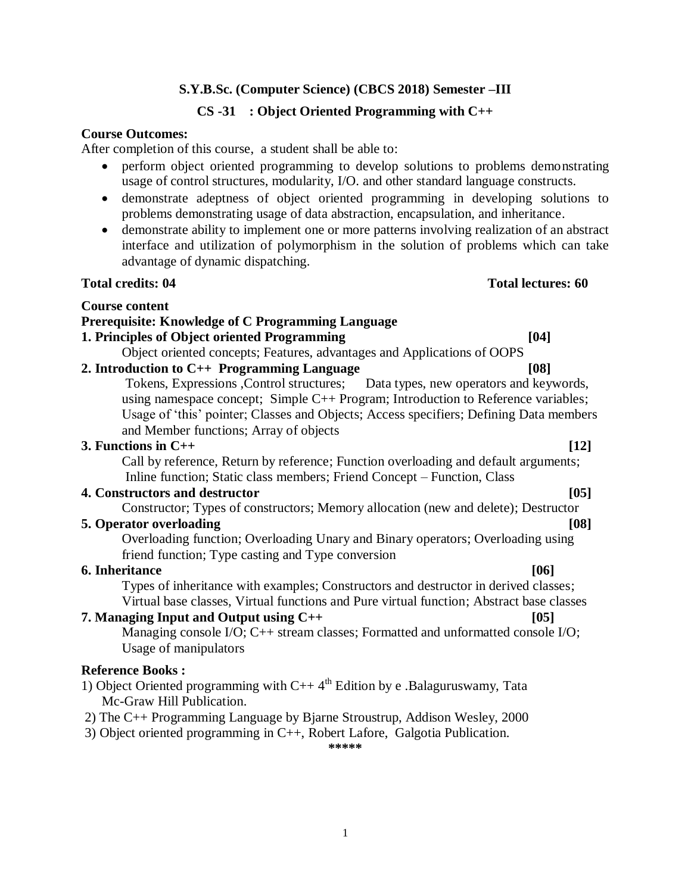### **CS -31 : Object Oriented Programming with C++**

#### **Course Outcomes:**

After completion of this course, a student shall be able to:

- perform object oriented programming to develop solutions to problems demonstrating usage of control structures, modularity, I/O. and other standard language constructs.
- demonstrate adeptness of object oriented programming in developing solutions to problems demonstrating usage of data abstraction, encapsulation, and inheritance.
- demonstrate ability to implement one or more patterns involving realization of an abstract interface and utilization of polymorphism in the solution of problems which can take advantage of dynamic dispatching.

#### **Total credits: 04 Total lectures: 60**

#### **Course content**

#### **Prerequisite: Knowledge of C Programming Language**

### **1. Principles of Object oriented Programming [04]**

Object oriented concepts; Features, advantages and Applications of OOPS

### **2. Introduction to C++ Programming Language [08]**

Tokens, Expressions ,Control structures; Data types, new operators and keywords, using namespace concept; Simple C++ Program; Introduction to Reference variables; Usage of "this" pointer; Classes and Objects; Access specifiers; Defining Data members and Member functions; Array of objects

#### **3. Functions in C++ [12]**

Call by reference, Return by reference; Function overloading and default arguments; Inline function; Static class members; Friend Concept – Function, Class

#### **4. Constructors and destructor [05]**

Constructor; Types of constructors; Memory allocation (new and delete); Destructor

#### **5. Operator overloading**  [08] *n* **108** *n* **<b>108** *n n n n n*

Overloading function; Overloading Unary and Binary operators; Overloading using friend function; Type casting and Type conversion

#### **6. Inheritance [06]**

Types of inheritance with examples; Constructors and destructor in derived classes; Virtual base classes, Virtual functions and Pure virtual function; Abstract base classes

#### **7. Managing Input and Output using C++ [05]**

Managing console I/O; C++ stream classes; Formatted and unformatted console I/O; Usage of manipulators

### **Reference Books :**

- 1) Object Oriented programming with  $C++4^{th}$  Edition by e .Balaguruswamy, Tata Mc-Graw Hill Publication.
- 2) The C++ Programming Language by Bjarne Stroustrup, Addison Wesley, 2000
- 3) Object oriented programming in C++, Robert Lafore, Galgotia Publication.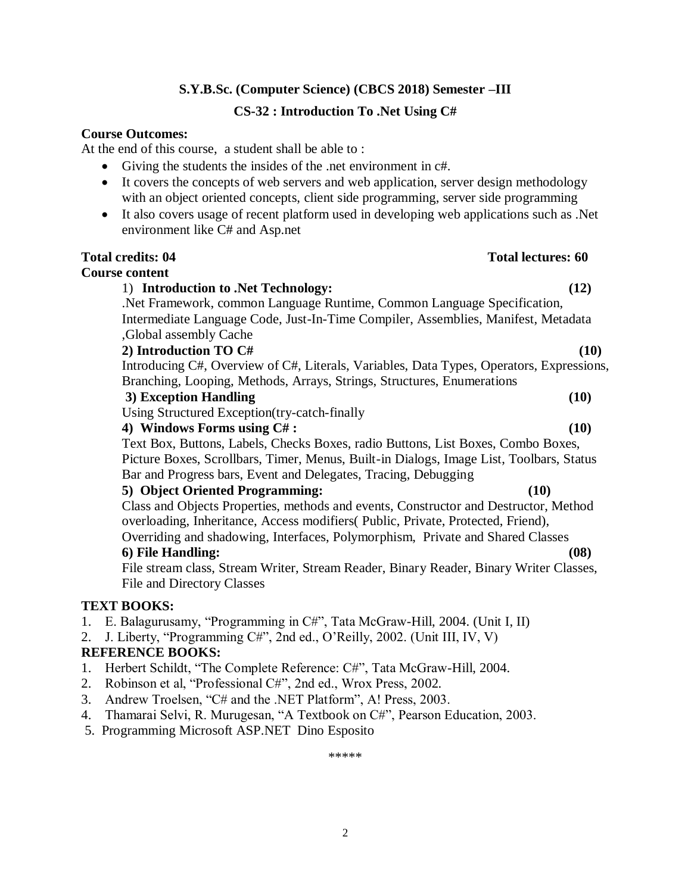## **CS-32 : Introduction To .Net Using C#**

### **Course Outcomes:**

At the end of this course, a student shall be able to :

- Giving the students the insides of the .net environment in c#.
- It covers the concepts of web servers and web application, server design methodology with an object oriented concepts, client side programming, server side programming
- It also covers usage of recent platform used in developing web applications such as .Net environment like C# and Asp.net

| <b>Total credits: 04</b>                                                                 | <b>Total lectures: 60</b> |
|------------------------------------------------------------------------------------------|---------------------------|
| <b>Course content</b>                                                                    |                           |
| 1) Introduction to .Net Technology:                                                      | (12)                      |
| . Net Framework, common Language Runtime, Common Language Specification,                 |                           |
| Intermediate Language Code, Just-In-Time Compiler, Assemblies, Manifest, Metadata        |                           |
| Global assembly Cache                                                                    |                           |
| 2) Introduction TO C#                                                                    | (10)                      |
| Introducing C#, Overview of C#, Literals, Variables, Data Types, Operators, Expressions, |                           |
| Branching, Looping, Methods, Arrays, Strings, Structures, Enumerations                   |                           |
| 3) Exception Handling                                                                    | (10)                      |
| Using Structured Exception (try-catch-finally                                            |                           |
| 4) Windows Forms using C#:                                                               | (10)                      |
| Text Box, Buttons, Labels, Checks Boxes, radio Buttons, List Boxes, Combo Boxes,         |                           |
| Picture Boxes, Scrollbars, Timer, Menus, Built-in Dialogs, Image List, Toolbars, Status  |                           |
| Bar and Progress bars, Event and Delegates, Tracing, Debugging                           |                           |
| 5) Object Oriented Programming:                                                          | (10)                      |
| Class and Objects Properties, methods and events, Constructor and Destructor, Method     |                           |
| overloading, Inheritance, Access modifiers (Public, Private, Protected, Friend),         |                           |
| Overriding and shadowing, Interfaces, Polymorphism, Private and Shared Classes           |                           |
| 6) File Handling:                                                                        | (08)                      |
| File stream class, Stream Writer, Stream Reader, Binary Reader, Binary Writer Classes,   |                           |
| <b>File and Directory Classes</b>                                                        |                           |
| <b>TEXT BOOKS:</b>                                                                       |                           |
| E. Balagurusamy, "Programming in C#", Tata McGraw-Hill, 2004. (Unit I, II)<br>1.         |                           |
| J. Liberty, "Programming C#", 2nd ed., O'Reilly, 2002. (Unit III, IV, V)<br>2.           |                           |
|                                                                                          |                           |

### **REFERENCE BOOKS:**

- 1. Herbert Schildt, "The Complete Reference: C#", Tata McGraw-Hill, 2004.
- 2. Robinson et al, "Professional C#", 2nd ed., Wrox Press, 2002.
- 3. Andrew Troelsen, "C# and the .NET Platform", A! Press, 2003.
- 4. Thamarai Selvi, R. Murugesan, "A Textbook on C#", Pearson Education, 2003.
- 5. Programming Microsoft ASP.NET Dino Esposito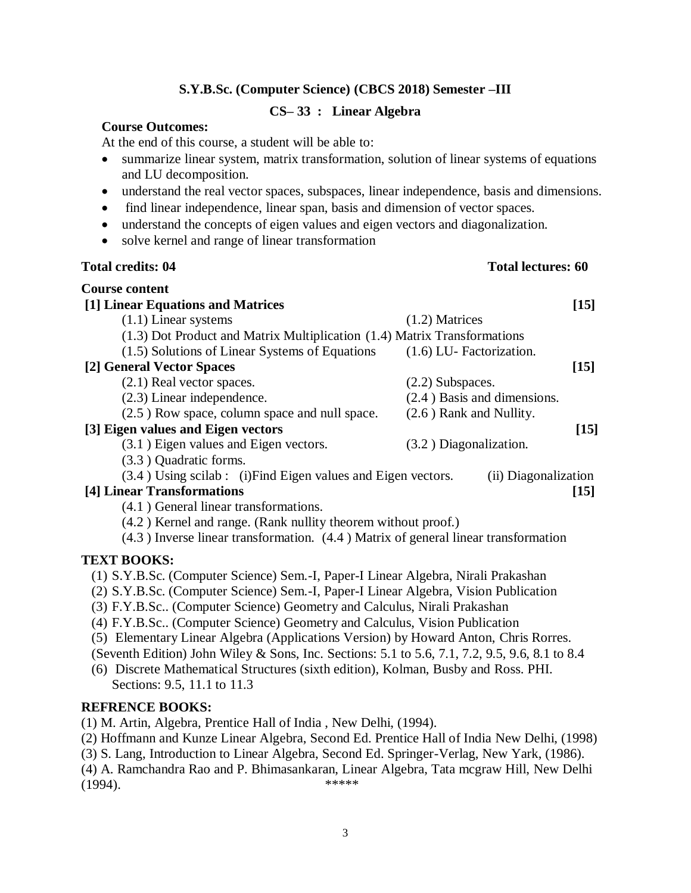#### **CS– 33 : Linear Algebra**

#### **Course Outcomes:**

At the end of this course, a student will be able to:

- summarize linear system, matrix transformation, solution of linear systems of equations and LU decomposition.
- understand the real vector spaces, subspaces, linear independence, basis and dimensions.
- find linear independence, linear span, basis and dimension of vector spaces.
- understand the concepts of eigen values and eigen vectors and diagonalization.
- solve kernel and range of linear transformation

#### **Total credits: 04 Total lectures: 60**

| <b>Course content</b>                                                    |                           |                               |        |
|--------------------------------------------------------------------------|---------------------------|-------------------------------|--------|
| [1] Linear Equations and Matrices                                        |                           |                               | $[15]$ |
| $(1.1)$ Linear systems                                                   | $(1.2)$ Matrices          |                               |        |
| (1.3) Dot Product and Matrix Multiplication (1.4) Matrix Transformations |                           |                               |        |
| (1.5) Solutions of Linear Systems of Equations                           | (1.6) LU- Factorization.  |                               |        |
| [2] General Vector Spaces                                                |                           |                               | $[15]$ |
| $(2.1)$ Real vector spaces.                                              | $(2.2)$ Subspaces.        |                               |        |
| $(2.3)$ Linear independence.                                             |                           | $(2.4)$ Basis and dimensions. |        |
| (2.5) Row space, column space and null space.                            | $(2.6)$ Rank and Nullity. |                               |        |
| [3] Eigen values and Eigen vectors                                       |                           |                               | $[15]$ |
| (3.1) Eigen values and Eigen vectors.                                    | (3.2) Diagonalization.    |                               |        |
| (3.3) Quadratic forms.                                                   |                           |                               |        |
| (3.4) Using scilab : (i) Find Eigen values and Eigen vectors.            |                           | (ii) Diagonalization          |        |
| [4] Linear Transformations                                               |                           |                               | $[15]$ |
| (4.1) General linear transformations.                                    |                           |                               |        |
| (4.2) Kernel and range. (Rank nullity theorem without proof.)            |                           |                               |        |

(4.3 ) Inverse linear transformation. (4.4 ) Matrix of general linear transformation

### **TEXT BOOKS:**

- (1) S.Y.B.Sc. (Computer Science) Sem.-I, Paper-I Linear Algebra, Nirali Prakashan
- (2) S.Y.B.Sc. (Computer Science) Sem.-I, Paper-I Linear Algebra, Vision Publication
- (3) F.Y.B.Sc.. (Computer Science) Geometry and Calculus, Nirali Prakashan
- (4) F.Y.B.Sc.. (Computer Science) Geometry and Calculus, Vision Publication
- (5) Elementary Linear Algebra (Applications Version) by Howard Anton, Chris Rorres.
- (Seventh Edition) John Wiley & Sons, Inc. Sections: 5.1 to 5.6, 7.1, 7.2, 9.5, 9.6, 8.1 to 8.4
- (6) Discrete Mathematical Structures (sixth edition), Kolman, Busby and Ross. PHI. Sections: 9.5, 11.1 to 11.3

### **REFRENCE BOOKS:**

- (1) M. Artin, Algebra, Prentice Hall of India , New Delhi, (1994).
- (2) Hoffmann and Kunze Linear Algebra, Second Ed. Prentice Hall of India New Delhi, (1998)
- (3) S. Lang, Introduction to Linear Algebra, Second Ed. Springer-Verlag, New Yark, (1986).
- (4) A. Ramchandra Rao and P. Bhimasankaran, Linear Algebra, Tata mcgraw Hill, New Delhi (1994). \*\*\*\*\*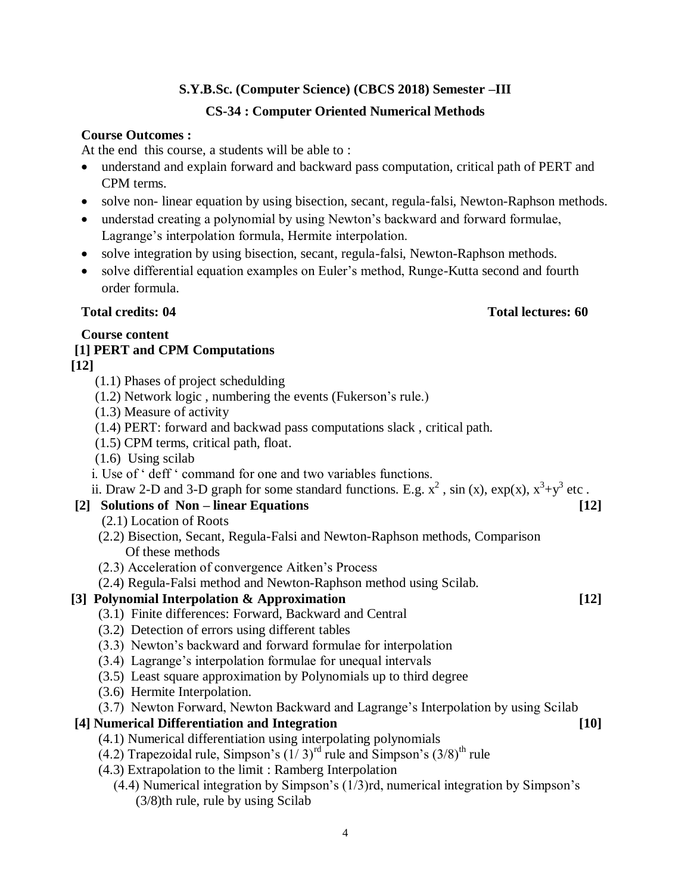## **S.Y.B.Sc. (Computer Science) (CBCS 2018) Semester –III CS-34 : Computer Oriented Numerical Methods**

### **Course Outcomes :**

At the end this course, a students will be able to :

- understand and explain forward and backward pass computation, critical path of PERT and CPM terms.
- solve non-linear equation by using bisection, secant, regula-falsi, Newton-Raphson methods.
- understad creating a polynomial by using Newton's backward and forward formulae, Lagrange's interpolation formula, Hermite interpolation.
- solve integration by using bisection, secant, regula-falsi, Newton-Raphson methods.
- solve differential equation examples on Euler's method, Runge-Kutta second and fourth order formula.

### **Total credits: 04 Total lectures: 60**

## **Course content**

# **[1] PERT and CPM Computations**

- **[12]**
	- (1.1) Phases of project schedulding
	- (1.2) Network logic , numbering the events (Fukerson"s rule.)
	- (1.3) Measure of activity
	- (1.4) PERT: forward and backwad pass computations slack , critical path.
	- (1.5) CPM terms, critical path, float.
	- (1.6) Using scilab
	- i. Use of " deff " command for one and two variables functions.

ii. Draw 2-D and 3-D graph for some standard functions. E.g.  $x^2$ , sin (x),  $\exp(x)$ ,  $x^3+y^3$  etc.

## **[2] Solutions of Non – linear Equations [12]**

- (2.1) Location of Roots
- (2.2) Bisection, Secant, Regula-Falsi and Newton-Raphson methods, Comparison Of these methods
- (2.3) Acceleration of convergence Aitken"s Process
- (2.4) Regula-Falsi method and Newton-Raphson method using Scilab.

## **[3] Polynomial Interpolation & Approximation [12]**

- (3.1) Finite differences: Forward, Backward and Central
- (3.2) Detection of errors using different tables
- (3.3) Newton"s backward and forward formulae for interpolation
- (3.4) Lagrange"s interpolation formulae for unequal intervals
- (3.5) Least square approximation by Polynomials up to third degree
- (3.6) Hermite Interpolation.
- (3.7) Newton Forward, Newton Backward and Lagrange"s Interpolation by using Scilab

## **[4] Numerical Differentiation and Integration [10]**

- (4.1) Numerical differentiation using interpolating polynomials
- $(4.2)$  Trapezoidal rule, Simpson's  $(1/3)^{rd}$  rule and Simpson's  $(3/8)^{th}$  rule
- (4.3) Extrapolation to the limit : Ramberg Interpolation
	- (4.4) Numerical integration by Simpson"s (1/3)rd, numerical integration by Simpson"s (3/8)th rule, rule by using Scilab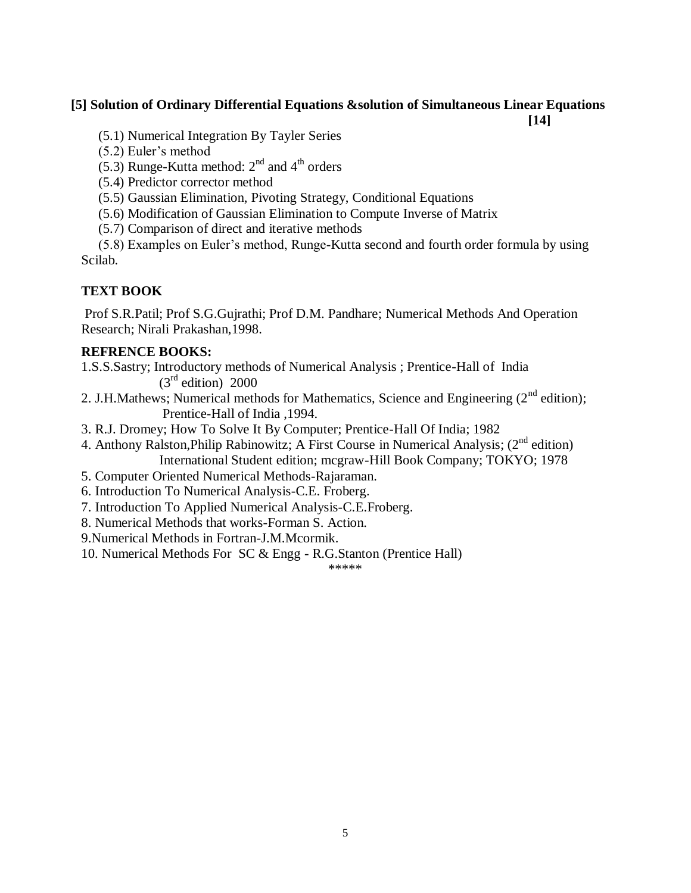### **[5] Solution of Ordinary Differential Equations &solution of Simultaneous Linear Equations**

**[14]**

(5.1) Numerical Integration By Tayler Series

(5.2) Euler"s method

(5.3) Runge-Kutta method:  $2<sup>nd</sup>$  and  $4<sup>th</sup>$  orders

(5.4) Predictor corrector method

(5.5) Gaussian Elimination, Pivoting Strategy, Conditional Equations

(5.6) Modification of Gaussian Elimination to Compute Inverse of Matrix

(5.7) Comparison of direct and iterative methods

 (5.8) Examples on Euler"s method, Runge-Kutta second and fourth order formula by using Scilab.

### **TEXT BOOK**

Prof S.R.Patil; Prof S.G.Gujrathi; Prof D.M. Pandhare; Numerical Methods And Operation Research; Nirali Prakashan,1998.

#### **REFRENCE BOOKS:**

1.S.S.Sastry; Introductory methods of Numerical Analysis ; Prentice-Hall of India  $(3<sup>rd</sup>$  edition) 2000

2. J.H.Mathews: Numerical methods for Mathematics, Science and Engineering  $(2^{nd}$  edition); Prentice-Hall of India ,1994.

3. R.J. Dromey; How To Solve It By Computer; Prentice-Hall Of India; 1982

- 4. Anthony Ralston, Philip Rabinowitz; A First Course in Numerical Analysis;  $(2<sup>nd</sup>$  edition) International Student edition; mcgraw-Hill Book Company; TOKYO; 1978
- 5. Computer Oriented Numerical Methods-Rajaraman.

6. Introduction To Numerical Analysis-C.E. Froberg.

7. Introduction To Applied Numerical Analysis-C.E.Froberg.

8. Numerical Methods that works-Forman S. Action.

9.Numerical Methods in Fortran-J.M.Mcormik.

10. Numerical Methods For SC & Engg - R.G.Stanton (Prentice Hall)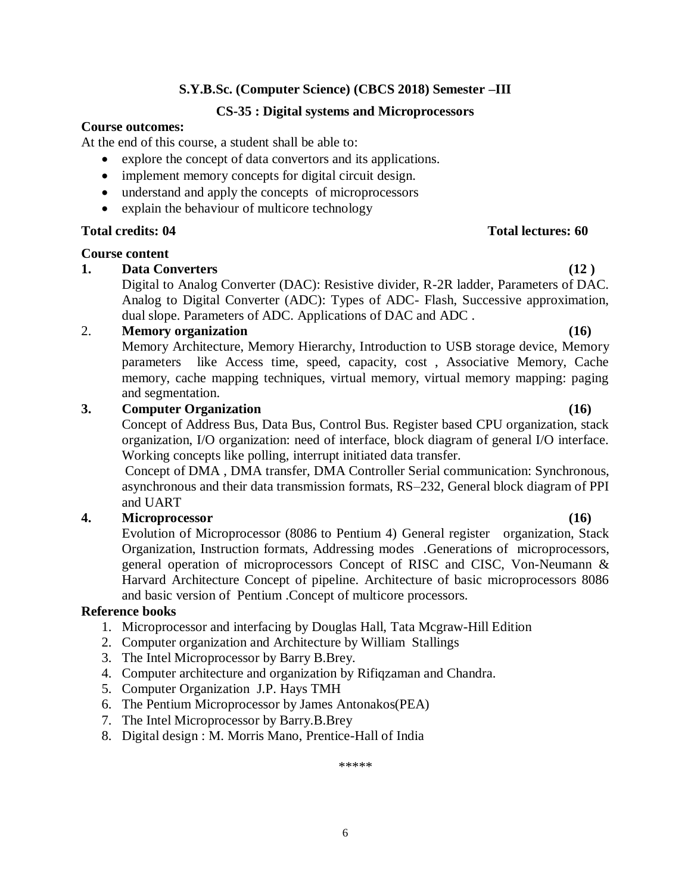#### **CS-35 : Digital systems and Microprocessors**

#### **Course outcomes:**

At the end of this course, a student shall be able to:

- explore the concept of data convertors and its applications.
- implement memory concepts for digital circuit design.
- understand and apply the concepts of microprocessors
- explain the behaviour of multicore technology

#### **Course content**

### **1. Data Converters (12 )**

Digital to Analog Converter (DAC): Resistive divider, R-2R ladder, Parameters of DAC. Analog to Digital Converter (ADC): Types of ADC- Flash, Successive approximation, dual slope. Parameters of ADC. Applications of DAC and ADC .

### 2. **Memory organization (16)**

Memory Architecture, Memory Hierarchy, Introduction to USB storage device, Memory parameters like Access time, speed, capacity, cost , Associative Memory, Cache memory, cache mapping techniques, virtual memory, virtual memory mapping: paging and segmentation.

### **3. Computer Organization (16)**

Concept of Address Bus, Data Bus, Control Bus. Register based CPU organization, stack organization, I/O organization: need of interface, block diagram of general I/O interface. Working concepts like polling, interrupt initiated data transfer.

Concept of DMA , DMA transfer, DMA Controller Serial communication: Synchronous, asynchronous and their data transmission formats, RS–232, General block diagram of PPI and UART

### **4. Microprocessor (16)**

Evolution of Microprocessor (8086 to Pentium 4) General register organization, Stack Organization, Instruction formats, Addressing modes .Generations of microprocessors, general operation of microprocessors Concept of RISC and CISC, Von-Neumann & Harvard Architecture Concept of pipeline. Architecture of basic microprocessors 8086 and basic version of Pentium .Concept of multicore processors.

#### **Reference books**

- 1. Microprocessor and interfacing by Douglas Hall, Tata Mcgraw-Hill Edition
- 2. Computer organization and Architecture by William Stallings
- 3. The Intel Microprocessor by Barry B.Brey.
- 4. Computer architecture and organization by Rifiqzaman and Chandra.
- 5. Computer Organization J.P. Hays TMH
- 6. The Pentium Microprocessor by James Antonakos(PEA)
- 7. The Intel Microprocessor by Barry.B.Brey
- 8. Digital design : M. Morris Mano, Prentice-Hall of India

\*\*\*\*\*

#### 6

#### **Total credits: 04 Total lectures: 60**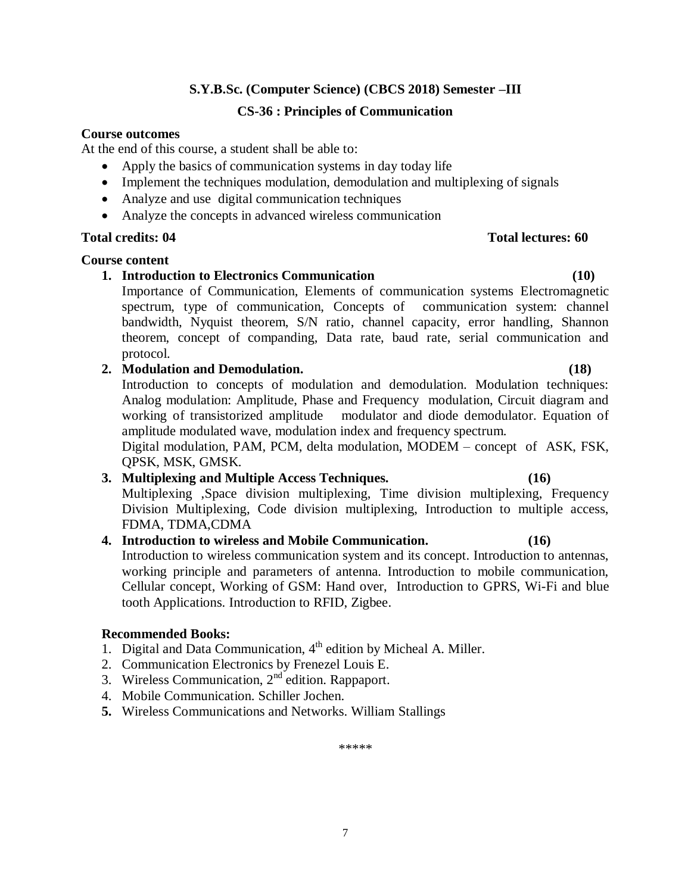#### **CS-36 : Principles of Communication**

#### **Course outcomes**

At the end of this course, a student shall be able to:

- Apply the basics of communication systems in day today life
- Implement the techniques modulation, demodulation and multiplexing of signals
- Analyze and use digital communication techniques
- Analyze the concepts in advanced wireless communication

#### **Total credits: 04 Total lectures: 60**

#### **Course content**

### **1. Introduction to Electronics Communication (10)**

Importance of Communication, Elements of communication systems Electromagnetic spectrum, type of communication, Concepts of communication system: channel bandwidth, Nyquist theorem, S/N ratio, channel capacity, error handling, Shannon theorem, concept of companding, Data rate, baud rate, serial communication and protocol.

#### **2. Modulation and Demodulation. (18)**

Introduction to concepts of modulation and demodulation. Modulation techniques: Analog modulation: Amplitude, Phase and Frequency modulation, Circuit diagram and working of transistorized amplitude modulator and diode demodulator. Equation of amplitude modulated wave, modulation index and frequency spectrum.

Digital modulation, PAM, PCM, delta modulation, MODEM – concept of ASK, FSK, QPSK, MSK, GMSK.

### **3. Multiplexing and Multiple Access Techniques. (16)**

Multiplexing ,Space division multiplexing, Time division multiplexing, Frequency Division Multiplexing, Code division multiplexing, Introduction to multiple access, FDMA, TDMA,CDMA

#### **4. Introduction to wireless and Mobile Communication. (16)**

Introduction to wireless communication system and its concept. Introduction to antennas, working principle and parameters of antenna. Introduction to mobile communication, Cellular concept, Working of GSM: Hand over, Introduction to GPRS, Wi-Fi and blue tooth Applications. Introduction to RFID, Zigbee.

#### **Recommended Books:**

- 1. Digital and Data Communication, 4<sup>th</sup> edition by Micheal A. Miller.
- 2. Communication Electronics by Frenezel Louis E.
- 3. Wireless Communication,  $2<sup>nd</sup>$  edition. Rappaport.
- 4. Mobile Communication. Schiller Jochen.
- **5.** Wireless Communications and Networks. William Stallings

\*\*\*\*\*

7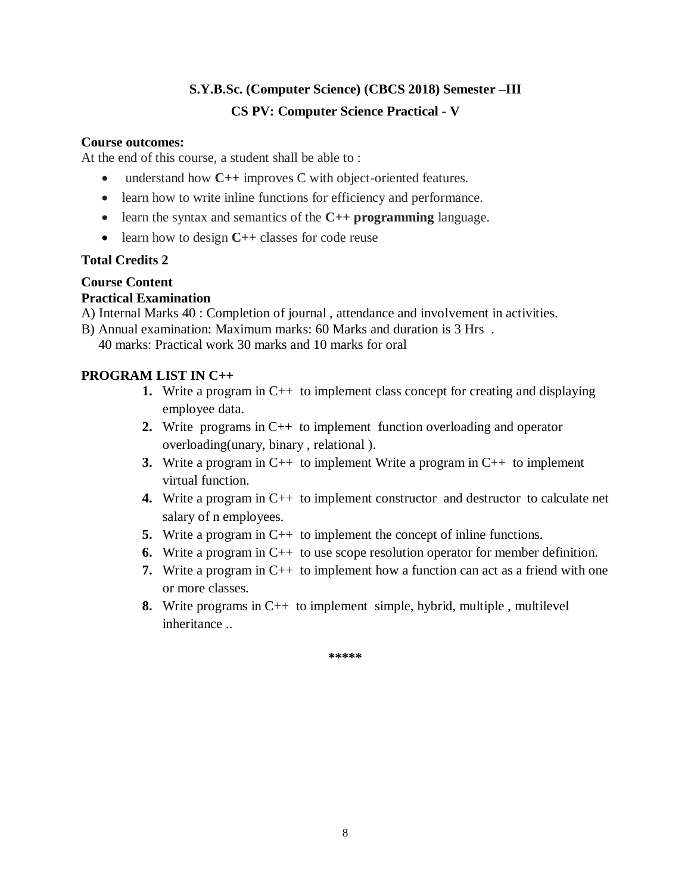## **S.Y.B.Sc. (Computer Science) (CBCS 2018) Semester –III CS PV: Computer Science Practical - V**

### **Course outcomes:**

At the end of this course, a student shall be able to :

- understand how **C++** improves C with object-oriented features.
- learn how to write inline functions for efficiency and performance.
- learn the syntax and semantics of the **C++ programming** language.
- learn how to design **C++** classes for code reuse

### **Total Credits 2**

## **Course Content**

### **Practical Examination**

- A) Internal Marks 40 : Completion of journal , attendance and involvement in activities.
- B) Annual examination: Maximum marks: 60 Marks and duration is 3 Hrs .

40 marks: Practical work 30 marks and 10 marks for oral

### **PROGRAM LIST IN C++**

- **1.** Write a program in C++ to implement class concept for creating and displaying employee data.
- **2.** Write programs in C++ to implement function overloading and operator overloading(unary, binary , relational ).
- **3.** Write a program in C++ to implement Write a program in C++ to implement virtual function.
- **4.** Write a program in C++ to implement constructor and destructor to calculate net salary of n employees.
- **5.** Write a program in C++ to implement the concept of inline functions.
- **6.** Write a program in C++ to use scope resolution operator for member definition.
- **7.** Write a program in C++ to implement how a function can act as a friend with one or more classes.
- **8.** Write programs in C++ to implement simple, hybrid, multiple , multilevel inheritance ..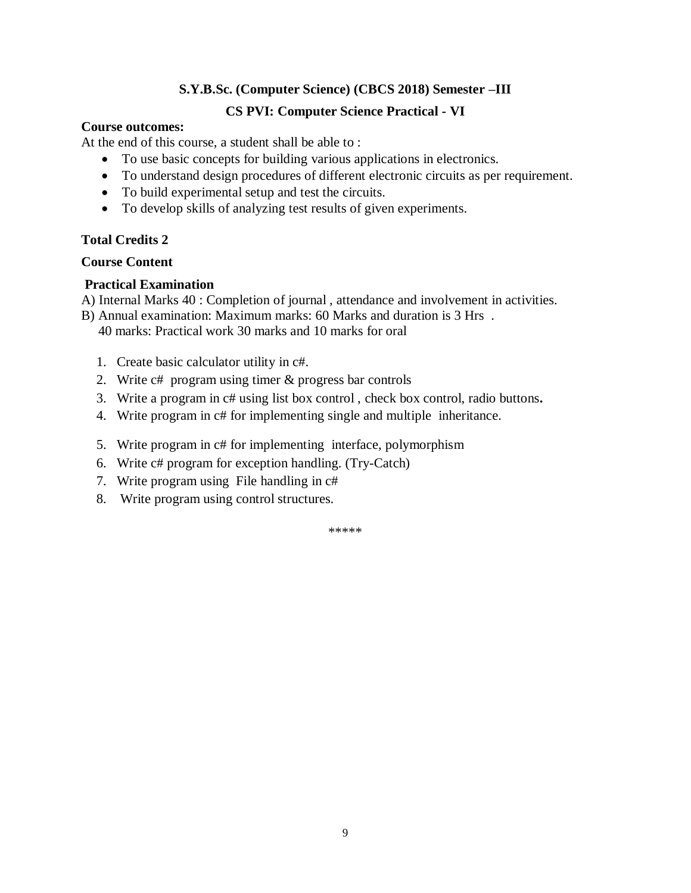#### **CS PVI: Computer Science Practical - VI**

#### **Course outcomes:**

At the end of this course, a student shall be able to :

- To use basic concepts for building various applications in electronics.
- To understand design procedures of different electronic circuits as per requirement.
- To build experimental setup and test the circuits.
- To develop skills of analyzing test results of given experiments.

### **Total Credits 2**

#### **Course Content**

#### **Practical Examination**

- A) Internal Marks 40 : Completion of journal , attendance and involvement in activities.
- B) Annual examination: Maximum marks: 60 Marks and duration is 3 Hrs .

40 marks: Practical work 30 marks and 10 marks for oral

- 1. Create basic calculator utility in c#.
- 2. Write c# program using timer & progress bar controls
- 3. Write a program in c# using list box control , check box control, radio buttons**.**
- 4. Write program in c# for implementing single and multiple inheritance.
- 5. Write program in c# for implementing interface, polymorphism
- 6. Write c# program for exception handling. (Try-Catch)
- 7. Write program using File handling in c#
- 8. Write program using control structures.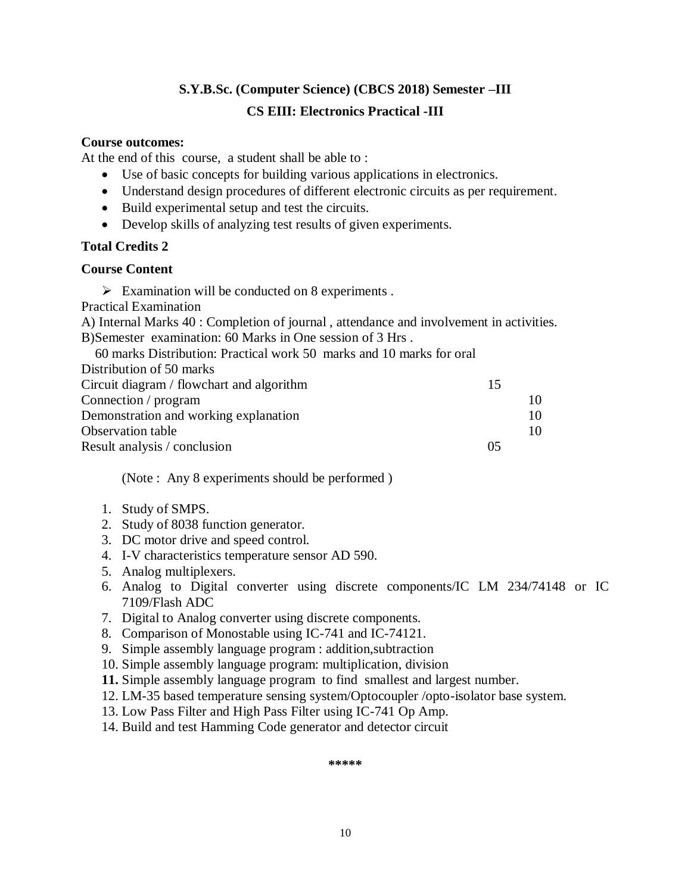## **S.Y.B.Sc. (Computer Science) (CBCS 2018) Semester –III CS EIII: Electronics Practical -III**

#### **Course outcomes:**

At the end of this course, a student shall be able to :

- Use of basic concepts for building various applications in electronics.
- Understand design procedures of different electronic circuits as per requirement.
- Build experimental setup and test the circuits.
- Develop skills of analyzing test results of given experiments.

#### **Total Credits 2**

#### **Course Content**

 $\triangleright$  Examination will be conducted on 8 experiments.

Practical Examination

A) Internal Marks 40 : Completion of journal , attendance and involvement in activities. B)Semester examination: 60 Marks in One session of 3 Hrs .

| 60 marks Distribution: Practical work 50 marks and 10 marks for oral |    |    |
|----------------------------------------------------------------------|----|----|
| Distribution of 50 marks                                             |    |    |
| Circuit diagram / flowchart and algorithm                            | 15 |    |
| Connection / program                                                 |    | 10 |
| Demonstration and working explanation                                |    | 10 |
| Observation table                                                    |    | 10 |
| Result analysis / conclusion                                         | 05 |    |
|                                                                      |    |    |

(Note : Any 8 experiments should be performed )

- 1. Study of SMPS.
- 2. Study of 8038 function generator.
- 3. DC motor drive and speed control.
- 4. I-V characteristics temperature sensor AD 590.
- 5. Analog multiplexers.
- 6. Analog to Digital converter using discrete components/IC LM 234/74148 or IC 7109/Flash ADC
- 7. Digital to Analog converter using discrete components.
- 8. Comparison of Monostable using IC-741 and IC-74121.
- 9. Simple assembly language program : addition,subtraction
- 10. Simple assembly language program: multiplication, division
- **11.** Simple assembly language program to find smallest and largest number.
- 12. LM-35 based temperature sensing system/Optocoupler /opto-isolator base system.
- 13. Low Pass Filter and High Pass Filter using IC-741 Op Amp.
- 14. Build and test Hamming Code generator and detector circuit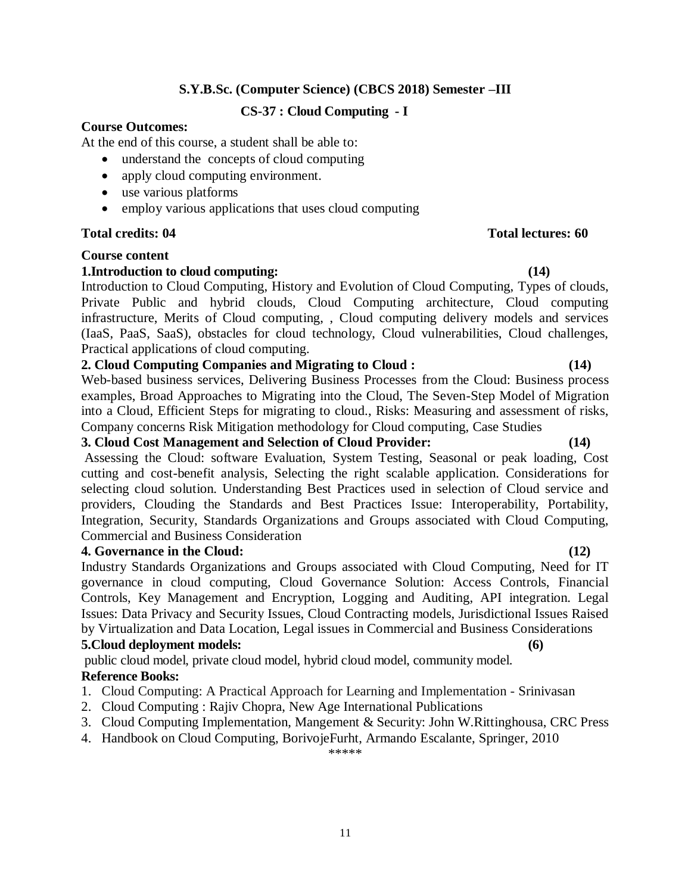#### **CS-37 : Cloud Computing - I**

#### **Course Outcomes:**

At the end of this course, a student shall be able to:

- understand the concepts of cloud computing
- apply cloud computing environment.
- use various platforms
- employ various applications that uses cloud computing

#### **Total credits: 04 Total lectures: 60**

#### **Course content**

#### **1.Introduction to cloud computing: (14)**

Introduction to Cloud Computing, History and Evolution of Cloud Computing, Types of clouds, Private Public and hybrid clouds, Cloud Computing architecture, Cloud computing infrastructure, Merits of Cloud computing, , Cloud computing delivery models and services (IaaS, PaaS, SaaS), obstacles for cloud technology, Cloud vulnerabilities, Cloud challenges, Practical applications of cloud computing.

#### **2. Cloud Computing Companies and Migrating to Cloud : (14)**

Web-based business services, Delivering Business Processes from the Cloud: Business process examples, Broad Approaches to Migrating into the Cloud, The Seven-Step Model of Migration into a Cloud, Efficient Steps for migrating to cloud., Risks: Measuring and assessment of risks, Company concerns Risk Mitigation methodology for Cloud computing, Case Studies

#### **3. Cloud Cost Management and Selection of Cloud Provider: (14)**

Assessing the Cloud: software Evaluation, System Testing, Seasonal or peak loading, Cost cutting and cost-benefit analysis, Selecting the right scalable application. Considerations for selecting cloud solution. Understanding Best Practices used in selection of Cloud service and providers, Clouding the Standards and Best Practices Issue: Interoperability, Portability, Integration, Security, Standards Organizations and Groups associated with Cloud Computing, Commercial and Business Consideration

#### **4. Governance in the Cloud: (12)**

Industry Standards Organizations and Groups associated with Cloud Computing, Need for IT governance in cloud computing, Cloud Governance Solution: Access Controls, Financial Controls, Key Management and Encryption, Logging and Auditing, API integration. Legal Issues: Data Privacy and Security Issues, Cloud Contracting models, Jurisdictional Issues Raised by Virtualization and Data Location, Legal issues in Commercial and Business Considerations

#### **5.Cloud deployment models: (6)**

public cloud model, private cloud model, hybrid cloud model, community model.

#### **Reference Books:**

- 1. Cloud Computing: A Practical Approach for Learning and Implementation [Srinivasan](http://www.amazon.in/s/ref=dp_byline_sr_book_1?ie=UTF8&field-author=Srinivasan&search-alias=stripbooks)
- 2. Cloud Computing : Rajiv Chopra, New Age International Publications
- 3. Cloud Computing Implementation, Mangement & Security: John W.Rittinghousa, CRC Press
- 4. Handbook on Cloud Computing, BorivojeFurht, Armando Escalante, Springer, 2010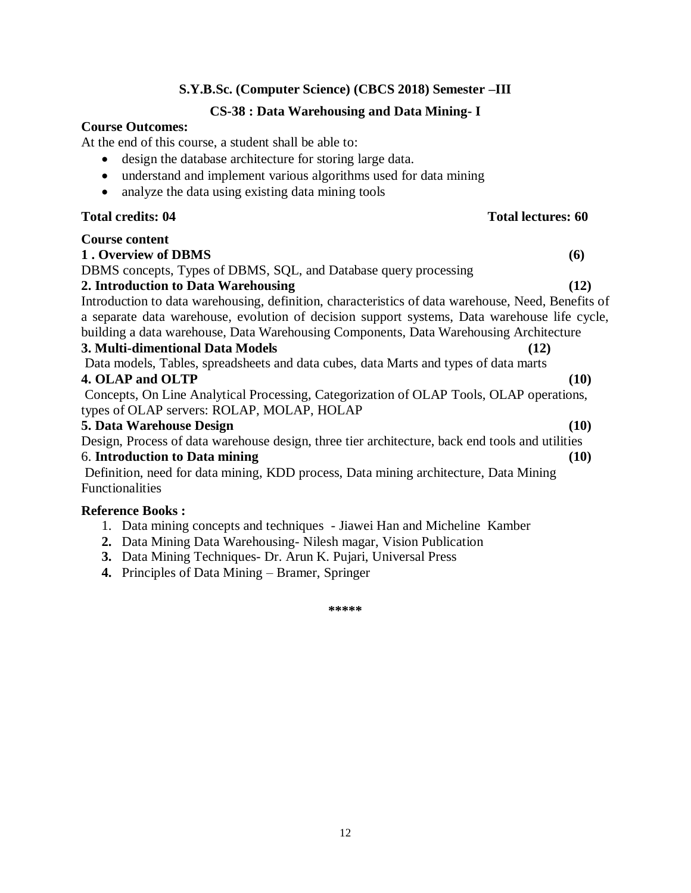#### **CS-38 : Data Warehousing and Data Mining- I**

#### **Course Outcomes:**

At the end of this course, a student shall be able to:

- design the database architecture for storing large data.
- understand and implement various algorithms used for data mining
- analyze the data using existing data mining tools

#### **Total credits: 04 Total lectures: 60**

| <b>Course content</b>                                                                              |  |
|----------------------------------------------------------------------------------------------------|--|
| 1. Overview of DBMS<br>(6)                                                                         |  |
| DBMS concepts, Types of DBMS, SQL, and Database query processing                                   |  |
| (12)<br>2. Introduction to Data Warehousing                                                        |  |
| Introduction to data warehousing, definition, characteristics of data warehouse, Need, Benefits of |  |
| a separate data warehouse, evolution of decision support systems, Data warehouse life cycle,       |  |
| building a data warehouse, Data Warehousing Components, Data Warehousing Architecture              |  |
| 3. Multi-dimentional Data Models<br>(12)                                                           |  |
| Data models, Tables, spreadsheets and data cubes, data Marts and types of data marts               |  |
| 4. OLAP and OLTP<br>(10)                                                                           |  |
| Concepts, On Line Analytical Processing, Categorization of OLAP Tools, OLAP operations,            |  |
| types of OLAP servers: ROLAP, MOLAP, HOLAP                                                         |  |
| 5. Data Warehouse Design<br>(10)                                                                   |  |
| Design, Process of data warehouse design, three tier architecture, back end tools and utilities    |  |
| 6. Introduction to Data mining<br>(10)                                                             |  |
| Definition, need for data mining, KDD process, Data mining architecture, Data Mining               |  |
| Functionalities                                                                                    |  |
| <b>Reference Books:</b>                                                                            |  |
| 1. Data mining concepts and techniques - Jiawei Han and Micheline Kamber                           |  |

- **2.** Data Mining Data Warehousing- Nilesh magar, Vision Publication
- **3.** Data Mining Techniques- Dr. Arun K. Pujari, Universal Press
- **4.** Principles of Data Mining Bramer, Springer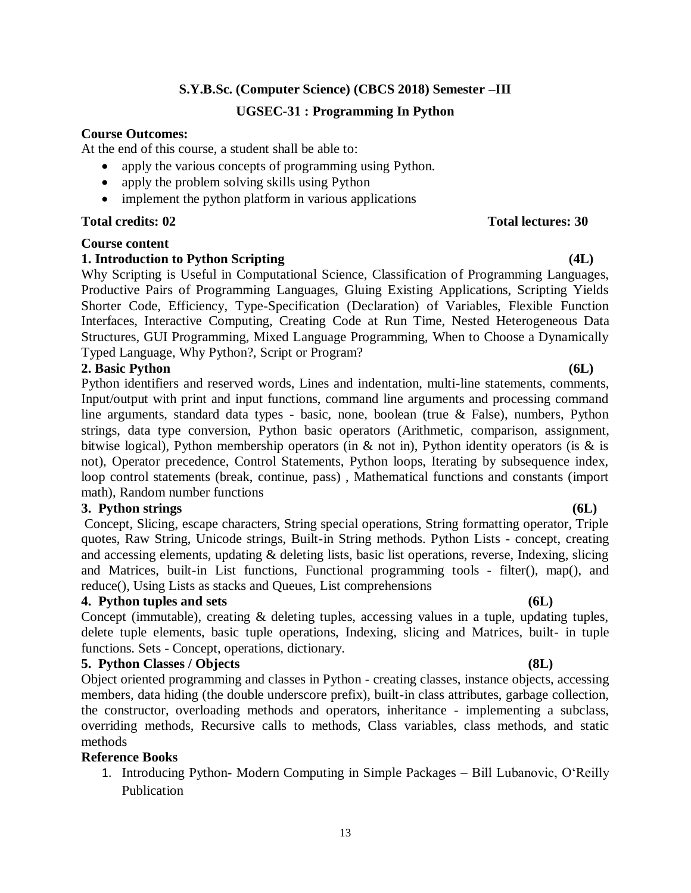## **S.Y.B.Sc. (Computer Science) (CBCS 2018) Semester –III UGSEC-31 : Programming In Python**

#### **Course Outcomes:**

At the end of this course, a student shall be able to:

- apply the various concepts of programming using Python.
- apply the problem solving skills using Python
- implement the python platform in various applications

#### **Course content**

#### **1. Introduction to Python Scripting (4L)**

Why Scripting is Useful in Computational Science, Classification of Programming Languages, Productive Pairs of Programming Languages, Gluing Existing Applications, Scripting Yields Shorter Code, Efficiency, Type-Specification (Declaration) of Variables, Flexible Function Interfaces, Interactive Computing, Creating Code at Run Time, Nested Heterogeneous Data Structures, GUI Programming, Mixed Language Programming, When to Choose a Dynamically Typed Language, Why Python?, Script or Program?

### **2. Basic Python (6L)**

Python identifiers and reserved words, Lines and indentation, multi-line statements, comments, Input/output with print and input functions, command line arguments and processing command line arguments, standard data types - basic, none, boolean (true & False), numbers, Python strings, data type conversion, Python basic operators (Arithmetic, comparison, assignment, bitwise logical), Python membership operators (in & not in), Python identity operators (is & is not), Operator precedence, Control Statements, Python loops, Iterating by subsequence index, loop control statements (break, continue, pass) , Mathematical functions and constants (import math), Random number functions

#### **3. Python strings (6L)**

Concept, Slicing, escape characters, String special operations, String formatting operator, Triple quotes, Raw String, Unicode strings, Built-in String methods. Python Lists - concept, creating and accessing elements, updating & deleting lists, basic list operations, reverse, Indexing, slicing and Matrices, built-in List functions, Functional programming tools - filter(), map(), and reduce(), Using Lists as stacks and Queues, List comprehensions

#### **4. Python tuples and sets (6L)**

Concept (immutable), creating & deleting tuples, accessing values in a tuple, updating tuples, delete tuple elements, basic tuple operations, Indexing, slicing and Matrices, built- in tuple functions. Sets - Concept, operations, dictionary.

#### **5. Python Classes / Objects (8L)**

Object oriented programming and classes in Python - creating classes, instance objects, accessing members, data hiding (the double underscore prefix), built-in class attributes, garbage collection, the constructor, overloading methods and operators, inheritance - implementing a subclass, overriding methods, Recursive calls to methods, Class variables, class methods, and static methods

#### **Reference Books**

1. Introducing Python- Modern Computing in Simple Packages – Bill Lubanovic, O"Reilly Publication

## **Total credits: 02 Total lectures: 30**

#### 13